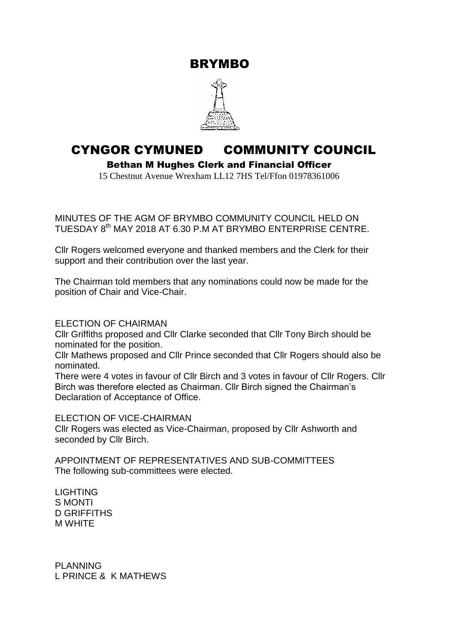BRYMBO



## CYNGOR CYMUNED COMMUNITY COUNCIL

Bethan M Hughes Clerk and Financial Officer

15 Chestnut Avenue Wrexham LL12 7HS Tel/Ffon 01978361006

MINUTES OF THE AGM OF BRYMBO COMMUNITY COUNCIL HELD ON TUESDAY 8<sup>th</sup> MAY 2018 AT 6.30 P.M AT BRYMBO ENTERPRISE CENTRE.

Cllr Rogers welcomed everyone and thanked members and the Clerk for their support and their contribution over the last year.

The Chairman told members that any nominations could now be made for the position of Chair and Vice-Chair.

## ELECTION OF CHAIRMAN

Cllr Griffiths proposed and Cllr Clarke seconded that Cllr Tony Birch should be nominated for the position.

Cllr Mathews proposed and Cllr Prince seconded that Cllr Rogers should also be nominated.

There were 4 votes in favour of Cllr Birch and 3 votes in favour of Cllr Rogers. Cllr Birch was therefore elected as Chairman. Cllr Birch signed the Chairman's Declaration of Acceptance of Office.

## ELECTION OF VICE-CHAIRMAN

Cllr Rogers was elected as Vice-Chairman, proposed by Cllr Ashworth and seconded by Cllr Birch.

APPOINTMENT OF REPRESENTATIVES AND SUB-COMMITTEES The following sub-committees were elected.

LIGHTING S MONTI D GRIFFITHS M WHITE

PLANNING L PRINCE & K MATHEWS